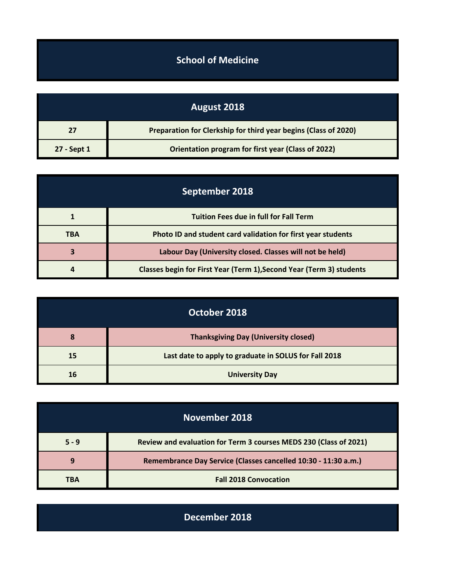## **School of Medicine**

| August 2018 |                                                                 |
|-------------|-----------------------------------------------------------------|
| 27          | Preparation for Clerkship for third year begins (Class of 2020) |
| 27 - Sept 1 | Orientation program for first year (Class of 2022)              |

| September 2018 |                                                                      |
|----------------|----------------------------------------------------------------------|
|                | <b>Tuition Fees due in full for Fall Term</b>                        |
| TBA            | Photo ID and student card validation for first year students         |
| 3              | Labour Day (University closed. Classes will not be held)             |
|                | Classes begin for First Year (Term 1), Second Year (Term 3) students |

|    | October 2018                                          |
|----|-------------------------------------------------------|
| 8  | <b>Thanksgiving Day (University closed)</b>           |
| 15 | Last date to apply to graduate in SOLUS for Fall 2018 |
| 16 | <b>University Day</b>                                 |

| November 2018 |                                                                   |
|---------------|-------------------------------------------------------------------|
| $5 - 9$       | Review and evaluation for Term 3 courses MEDS 230 (Class of 2021) |
|               | Remembrance Day Service (Classes cancelled 10:30 - 11:30 a.m.)    |
| TRA           | <b>Fall 2018 Convocation</b>                                      |

**December 2018**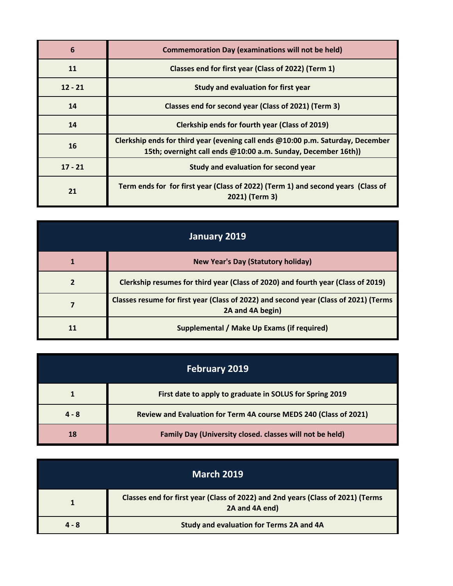| 6         | <b>Commemoration Day (examinations will not be held)</b>                                                                                         |
|-----------|--------------------------------------------------------------------------------------------------------------------------------------------------|
| 11        | Classes end for first year (Class of 2022) (Term 1)                                                                                              |
| $12 - 21$ | Study and evaluation for first year                                                                                                              |
| 14        | Classes end for second year (Class of 2021) (Term 3)                                                                                             |
| 14        | <b>Clerkship ends for fourth year (Class of 2019)</b>                                                                                            |
| 16        | Clerkship ends for third year (evening call ends @10:00 p.m. Saturday, December<br>15th; overnight call ends @10:00 a.m. Sunday, December 16th)) |
| $17 - 21$ | Study and evaluation for second year                                                                                                             |
| 21        | Term ends for for first year (Class of 2022) (Term 1) and second years (Class of<br>2021) (Term 3)                                               |

| January 2019 |                                                                                                          |
|--------------|----------------------------------------------------------------------------------------------------------|
|              | <b>New Year's Day (Statutory holiday)</b>                                                                |
|              | Clerkship resumes for third year (Class of 2020) and fourth year (Class of 2019)                         |
|              | Classes resume for first year (Class of 2022) and second year (Class of 2021) (Terms<br>2A and 4A begin) |
|              | Supplemental / Make Up Exams (if required)                                                               |

| <b>February 2019</b> |                                                                   |
|----------------------|-------------------------------------------------------------------|
|                      | First date to apply to graduate in SOLUS for Spring 2019          |
| $4 - 8$              | Review and Evaluation for Term 4A course MEDS 240 (Class of 2021) |
| 18                   | Family Day (University closed. classes will not be held)          |

| <b>March 2019</b> |                                                                                                   |
|-------------------|---------------------------------------------------------------------------------------------------|
|                   | Classes end for first year (Class of 2022) and 2nd years (Class of 2021) (Terms<br>2A and 4A end) |
| $4 - 8$           | Study and evaluation for Terms 2A and 4A                                                          |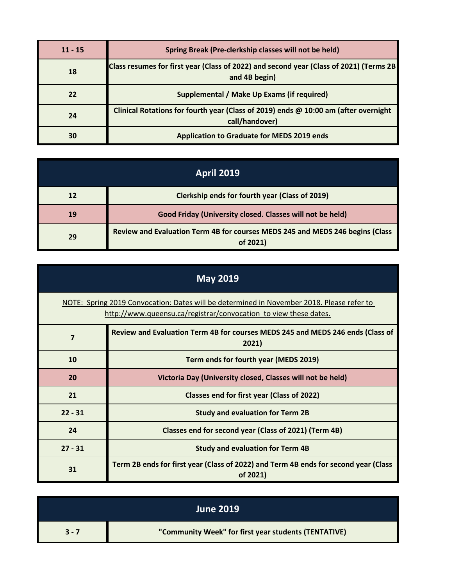| $11 - 15$ | Spring Break (Pre-clerkship classes will not be held)                                                   |
|-----------|---------------------------------------------------------------------------------------------------------|
| 18        | Class resumes for first year (Class of 2022) and second year (Class of 2021) (Terms 2B<br>and 4B begin) |
| 22        | Supplemental / Make Up Exams (if required)                                                              |
| 24        | Clinical Rotations for fourth year (Class of 2019) ends @ 10:00 am (after overnight<br>call/handover)   |
| 30        | <b>Application to Graduate for MEDS 2019 ends</b>                                                       |

| <b>April 2019</b> |                                                                                           |
|-------------------|-------------------------------------------------------------------------------------------|
| 12                | <b>Clerkship ends for fourth year (Class of 2019)</b>                                     |
| 19                | Good Friday (University closed. Classes will not be held)                                 |
| 29                | Review and Evaluation Term 4B for courses MEDS 245 and MEDS 246 begins (Class<br>of 2021) |

| <b>May 2019</b>                                                                                                                                               |                                                                                                 |
|---------------------------------------------------------------------------------------------------------------------------------------------------------------|-------------------------------------------------------------------------------------------------|
| NOTE: Spring 2019 Convocation: Dates will be determined in November 2018. Please refer to<br>http://www.queensu.ca/registrar/convocation to view these dates. |                                                                                                 |
| 7                                                                                                                                                             | Review and Evaluation Term 4B for courses MEDS 245 and MEDS 246 ends (Class of<br>2021)         |
| 10                                                                                                                                                            | Term ends for fourth year (MEDS 2019)                                                           |
| 20                                                                                                                                                            | Victoria Day (University closed, Classes will not be held)                                      |
| 21                                                                                                                                                            | Classes end for first year (Class of 2022)                                                      |
| $22 - 31$                                                                                                                                                     | <b>Study and evaluation for Term 2B</b>                                                         |
| 24                                                                                                                                                            | Classes end for second year (Class of 2021) (Term 4B)                                           |
| $27 - 31$                                                                                                                                                     | <b>Study and evaluation for Term 4B</b>                                                         |
| 31                                                                                                                                                            | Term 2B ends for first year (Class of 2022) and Term 4B ends for second year (Class<br>of 2021) |

|         | <b>June 2019</b>                                     |
|---------|------------------------------------------------------|
| $3 - 7$ | "Community Week" for first year students (TENTATIVE) |